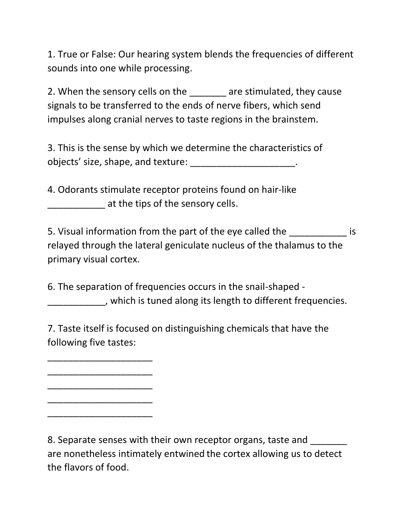1. True or False: Our hearing system blends the frequencies of different sounds into one while processing.

2. When the sensory cells on the \_\_\_\_\_\_\_ are stimulated, they cause signals to be transferred to the ends of nerve fibers, which send impulses along cranial nerves to taste regions in the brainstem.

3. This is the sense by which we determine the characteristics of objects' size, shape, and texture: \_\_\_\_\_\_\_\_\_\_\_\_\_\_\_\_\_\_\_\_.

4. Odorants stimulate receptor proteins found on hair-like at the tips of the sensory cells.

5. Visual information from the part of the eye called the  $\sim$ relayed through the lateral geniculate nucleus of the thalamus to the primary visual cortex.

6. The separation of frequencies occurs in the snail-shaped - \_\_\_\_\_\_\_\_\_\_\_, which is tuned along its length to different frequencies.

7. Taste itself is focused on distinguishing chemicals that have the following five tastes:

\_\_\_\_\_\_\_\_\_\_\_\_\_\_\_\_\_\_\_\_

\_\_\_\_\_\_\_\_\_\_\_\_\_\_\_\_\_\_\_\_

\_\_\_\_\_\_\_\_\_\_\_\_\_\_\_\_\_\_\_\_

\_\_\_\_\_\_\_\_\_\_\_\_\_\_\_\_\_\_\_\_

\_\_\_\_\_\_\_\_\_\_\_\_\_\_\_\_\_\_\_\_

8. Separate senses with their own receptor organs, taste and are nonetheless intimately entwined the cortex allowing us to detect the flavors of food.